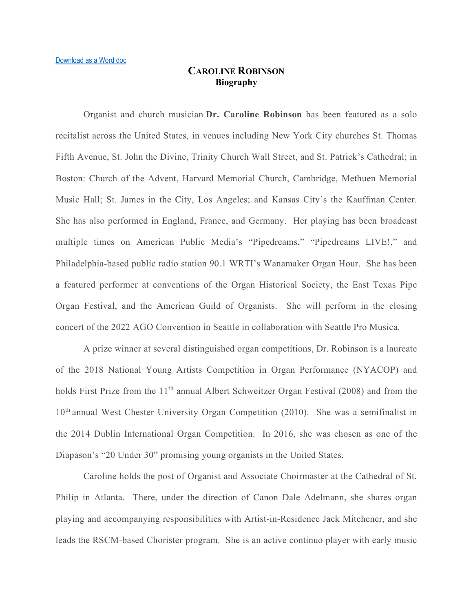## **CAROLINE ROBINSON Biography**

Organist and church musician **Dr. Caroline Robinson** has been featured as a solo recitalist across the United States, in venues including New York City churches St. Thomas Fifth Avenue, St. John the Divine, Trinity Church Wall Street, and St. Patrick's Cathedral; in Boston: Church of the Advent, Harvard Memorial Church, Cambridge, Methuen Memorial Music Hall; St. James in the City, Los Angeles; and Kansas City's the Kauffman Center. She has also performed in England, France, and Germany. Her playing has been broadcast multiple times on American Public Media's "Pipedreams," "Pipedreams LIVE!," and Philadelphia-based public radio station 90.1 WRTI's Wanamaker Organ Hour. She has been a featured performer at conventions of the Organ Historical Society, the East Texas Pipe Organ Festival, and the American Guild of Organists. She will perform in the closing concert of the 2022 AGO Convention in Seattle in collaboration with Seattle Pro Musica.

A prize winner at several distinguished organ competitions, Dr. Robinson is a laureate of the 2018 National Young Artists Competition in Organ Performance (NYACOP) and holds First Prize from the 11<sup>th</sup> annual Albert Schweitzer Organ Festival (2008) and from the 10<sup>th</sup> annual West Chester University Organ Competition (2010). She was a semifinalist in the 2014 Dublin International Organ Competition. In 2016, she was chosen as one of the Diapason's "20 Under 30" promising young organists in the United States.

Caroline holds the post of Organist and Associate Choirmaster at the Cathedral of St. Philip in Atlanta. There, under the direction of Canon Dale Adelmann, she shares organ playing and accompanying responsibilities with Artist-in-Residence Jack Mitchener, and she leads the RSCM-based Chorister program. She is an active continuo player with early music